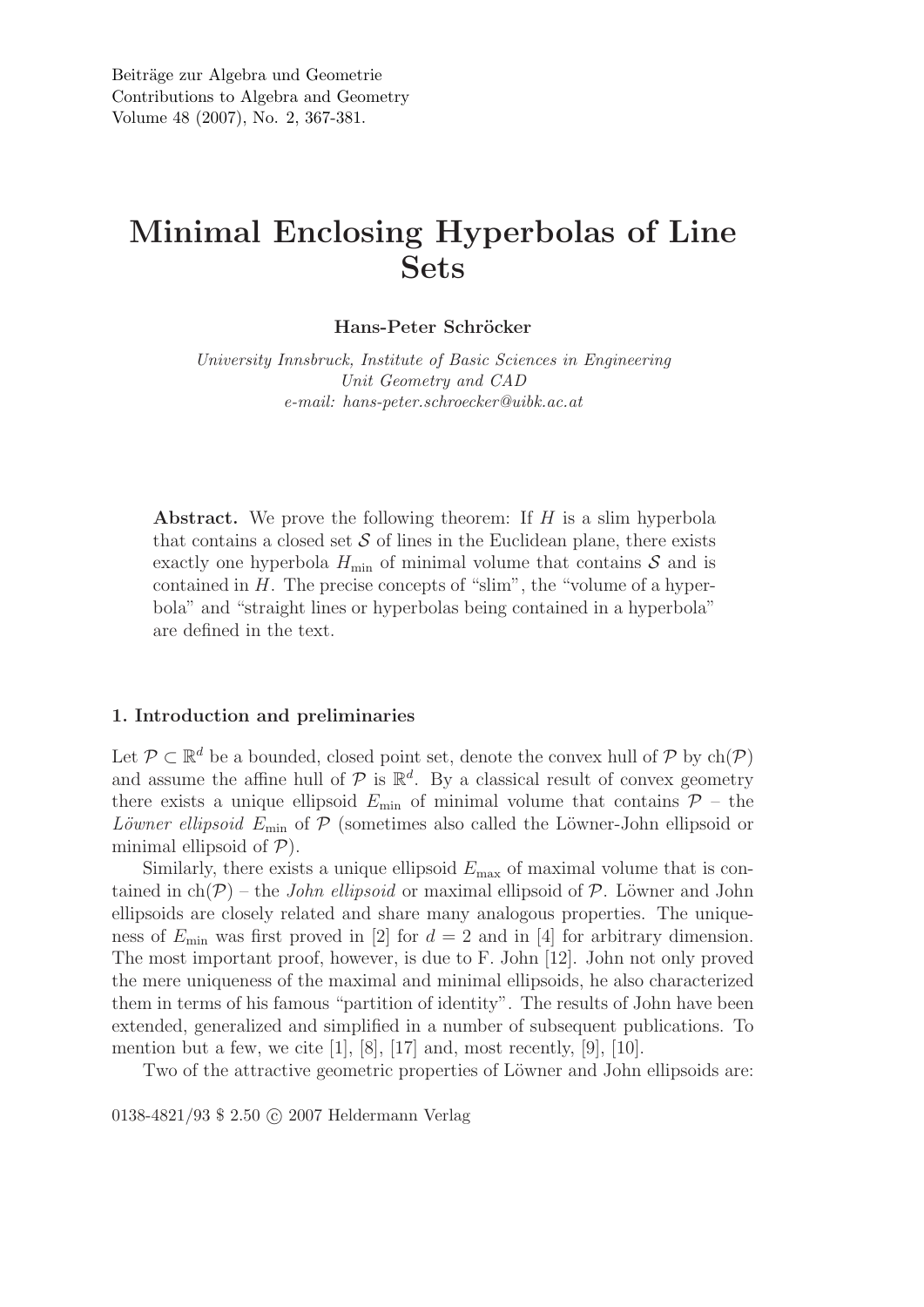# Minimal Enclosing Hyperbolas of Line Sets

Hans-Peter Schröcker

*University Innsbruck, Institute of Basic Sciences in Engineering Unit Geometry and CAD e-mail: hans-peter.schroecker@uibk.ac.at*

**Abstract.** We prove the following theorem: If  $H$  is a slim hyperbola that contains a closed set  $S$  of lines in the Euclidean plane, there exists exactly one hyperbola  $H_{\text{min}}$  of minimal volume that contains  $S$  and is contained in  $H$ . The precise concepts of "slim", the "volume of a hyperbola" and "straight lines or hyperbolas being contained in a hyperbola" are defined in the text.

### 1. Introduction and preliminaries

Let  $\mathcal{P} \subset \mathbb{R}^d$  be a bounded, closed point set, denote the convex hull of  $\mathcal{P}$  by  $ch(\mathcal{P})$ and assume the affine hull of  $P$  is  $\mathbb{R}^d$ . By a classical result of convex geometry there exists a unique ellipsoid  $E_{\text{min}}$  of minimal volume that contains  $\mathcal{P}$  – the *Löwner ellipsoid*  $E_{\text{min}}$  of  $\mathcal{P}$  (sometimes also called the Löwner-John ellipsoid or minimal ellipsoid of  $P$ ).

Similarly, there exists a unique ellipsoid  $E_{\text{max}}$  of maximal volume that is contained in ch(P) – the *John ellipsoid* or maximal ellipsoid of P. Löwner and John ellipsoids are closely related and share many analogous properties. The uniqueness of  $E_{\text{min}}$  was first proved in [2] for  $d = 2$  and in [4] for arbitrary dimension. The most important proof, however, is due to F. John [12]. John not only proved the mere uniqueness of the maximal and minimal ellipsoids, he also characterized them in terms of his famous "partition of identity". The results of John have been extended, generalized and simplified in a number of subsequent publications. To mention but a few, we cite  $[1]$ ,  $[8]$ ,  $[17]$  and, most recently,  $[9]$ ,  $[10]$ .

Two of the attractive geometric properties of Löwner and John ellipsoids are:

0138-4821/93 \$ 2.50 © 2007 Heldermann Verlag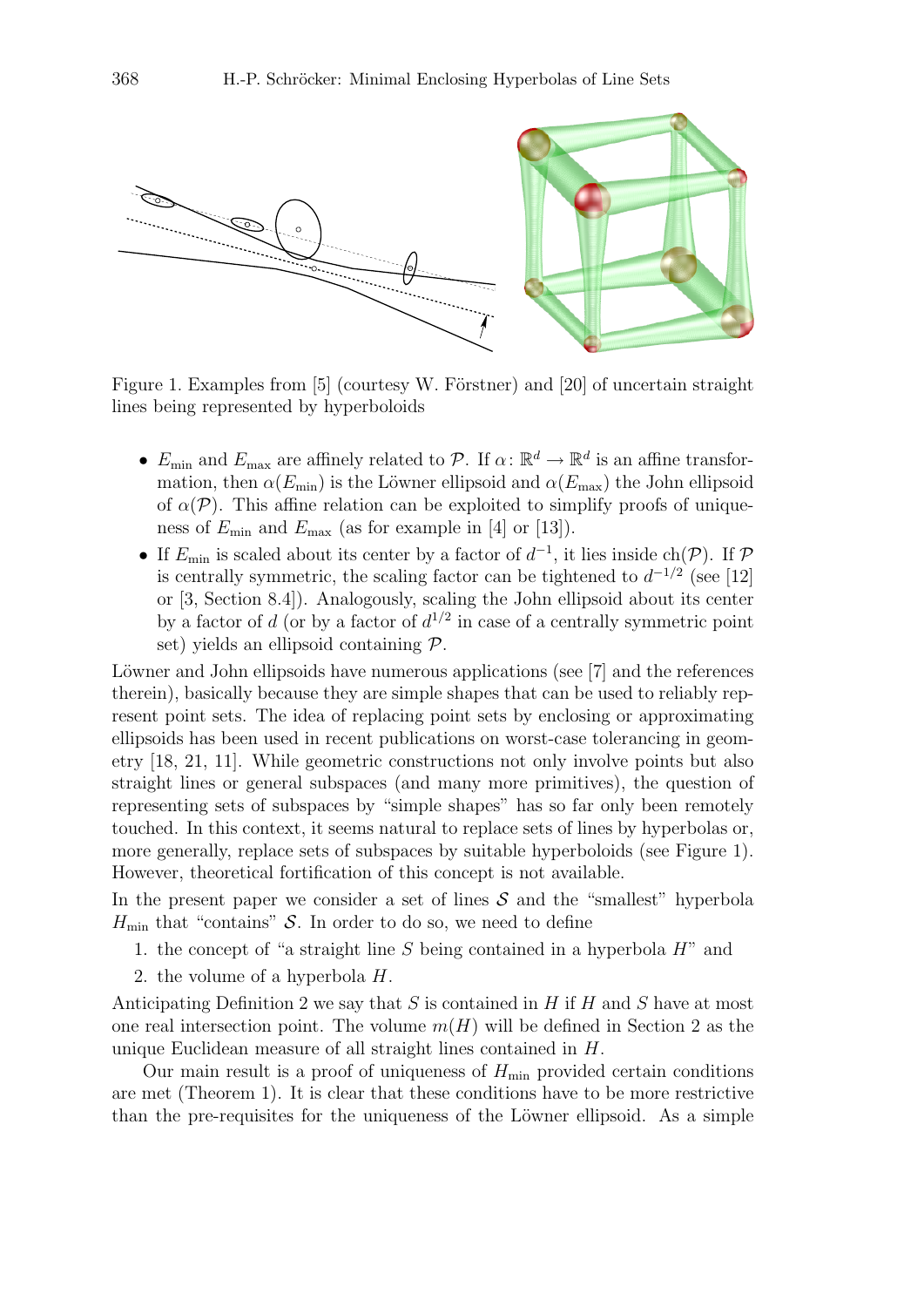

Figure 1. Examples from  $[5]$  (courtesy W. Förstner) and  $[20]$  of uncertain straight lines being represented by hyperboloids

- $E_{\text{min}}$  and  $E_{\text{max}}$  are affinely related to  $\mathcal{P}$ . If  $\alpha: \mathbb{R}^d \to \mathbb{R}^d$  is an affine transformation, then  $\alpha(E_{\text{min}})$  is the Löwner ellipsoid and  $\alpha(E_{\text{max}})$  the John ellipsoid of  $\alpha(\mathcal{P})$ . This affine relation can be exploited to simplify proofs of uniqueness of  $E_{\text{min}}$  and  $E_{\text{max}}$  (as for example in [4] or [13]).
- If  $E_{\min}$  is scaled about its center by a factor of  $d^{-1}$ , it lies inside ch( $\mathcal{P}$ ). If  $\mathcal{P}$ is centrally symmetric, the scaling factor can be tightened to  $d^{-1/2}$  (see [12] or [3, Section 8.4]). Analogously, scaling the John ellipsoid about its center by a factor of d (or by a factor of  $d^{1/2}$  in case of a centrally symmetric point set) yields an ellipsoid containing P.

Löwner and John ellipsoids have numerous applications (see [7] and the references therein), basically because they are simple shapes that can be used to reliably represent point sets. The idea of replacing point sets by enclosing or approximating ellipsoids has been used in recent publications on worst-case tolerancing in geometry [18, 21, 11]. While geometric constructions not only involve points but also straight lines or general subspaces (and many more primitives), the question of representing sets of subspaces by "simple shapes" has so far only been remotely touched. In this context, it seems natural to replace sets of lines by hyperbolas or, more generally, replace sets of subspaces by suitable hyperboloids (see Figure 1). However, theoretical fortification of this concept is not available.

In the present paper we consider a set of lines  $S$  and the "smallest" hyperbola  $H_{\text{min}}$  that "contains" S. In order to do so, we need to define

- 1. the concept of "a straight line  $S$  being contained in a hyperbola  $H$ " and
- 2. the volume of a hyperbola H.

Anticipating Definition 2 we say that S is contained in H if H and S have at most one real intersection point. The volume  $m(H)$  will be defined in Section 2 as the unique Euclidean measure of all straight lines contained in H.

Our main result is a proof of uniqueness of  $H_{\text{min}}$  provided certain conditions are met (Theorem 1). It is clear that these conditions have to be more restrictive than the pre-requisites for the uniqueness of the Löwner ellipsoid. As a simple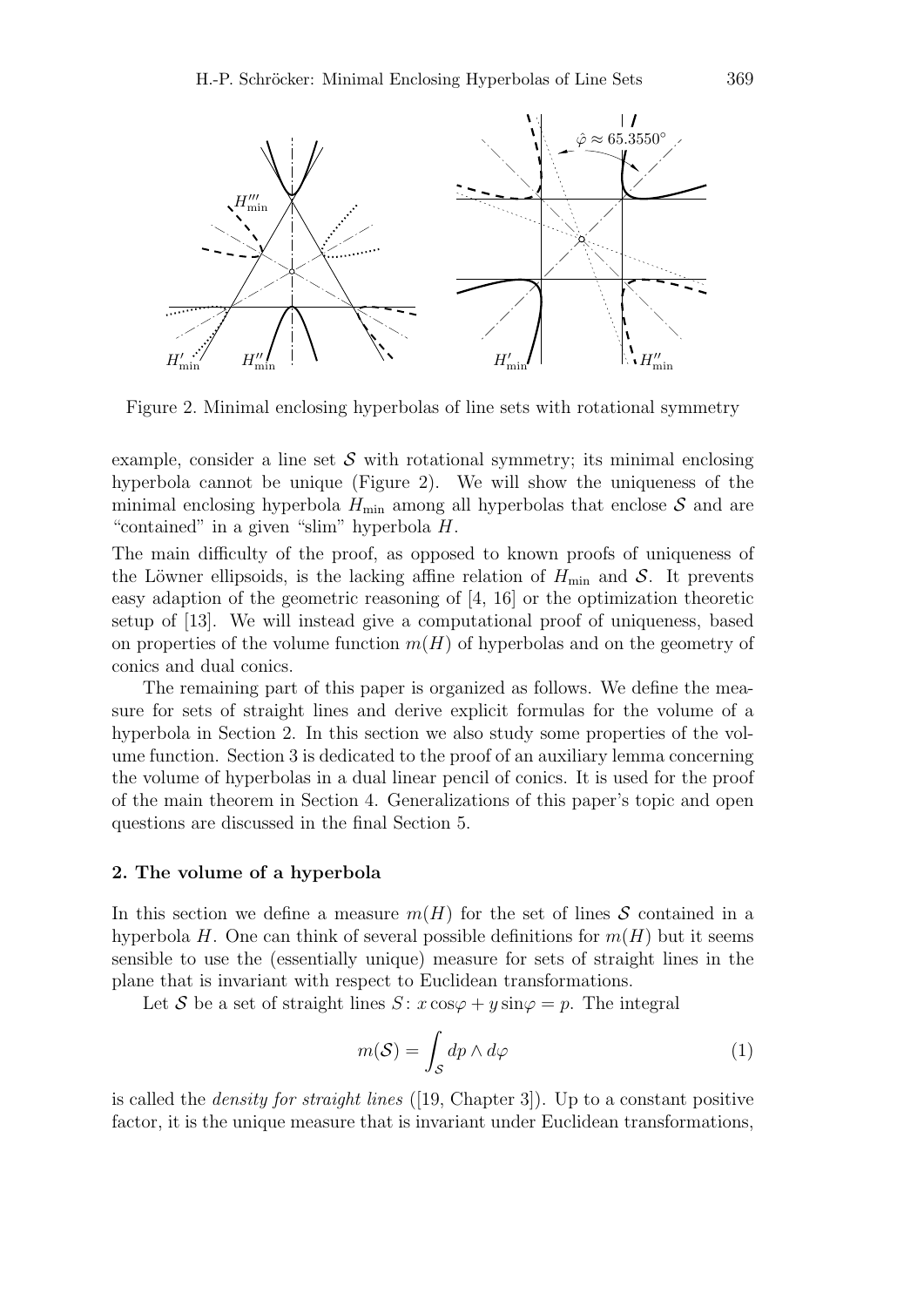

Figure 2. Minimal enclosing hyperbolas of line sets with rotational symmetry

example, consider a line set  $\mathcal S$  with rotational symmetry; its minimal enclosing hyperbola cannot be unique (Figure 2). We will show the uniqueness of the minimal enclosing hyperbola  $H_{\text{min}}$  among all hyperbolas that enclose  $S$  and are "contained" in a given "slim" hyperbola H.

The main difficulty of the proof, as opposed to known proofs of uniqueness of the Löwner ellipsoids, is the lacking affine relation of  $H_{\text{min}}$  and  $S$ . It prevents easy adaption of the geometric reasoning of [4, 16] or the optimization theoretic setup of [13]. We will instead give a computational proof of uniqueness, based on properties of the volume function  $m(H)$  of hyperbolas and on the geometry of conics and dual conics.

The remaining part of this paper is organized as follows. We define the measure for sets of straight lines and derive explicit formulas for the volume of a hyperbola in Section 2. In this section we also study some properties of the volume function. Section 3 is dedicated to the proof of an auxiliary lemma concerning the volume of hyperbolas in a dual linear pencil of conics. It is used for the proof of the main theorem in Section 4. Generalizations of this paper's topic and open questions are discussed in the final Section 5.

#### 2. The volume of a hyperbola

In this section we define a measure  $m(H)$  for the set of lines S contained in a hyperbola H. One can think of several possible definitions for  $m(H)$  but it seems sensible to use the (essentially unique) measure for sets of straight lines in the plane that is invariant with respect to Euclidean transformations.

Let S be a set of straight lines  $S: x \cos \varphi + y \sin \varphi = p$ . The integral

$$
m(S) = \int_{S} dp \wedge d\varphi \tag{1}
$$

is called the *density for straight lines* ([19, Chapter 3]). Up to a constant positive factor, it is the unique measure that is invariant under Euclidean transformations,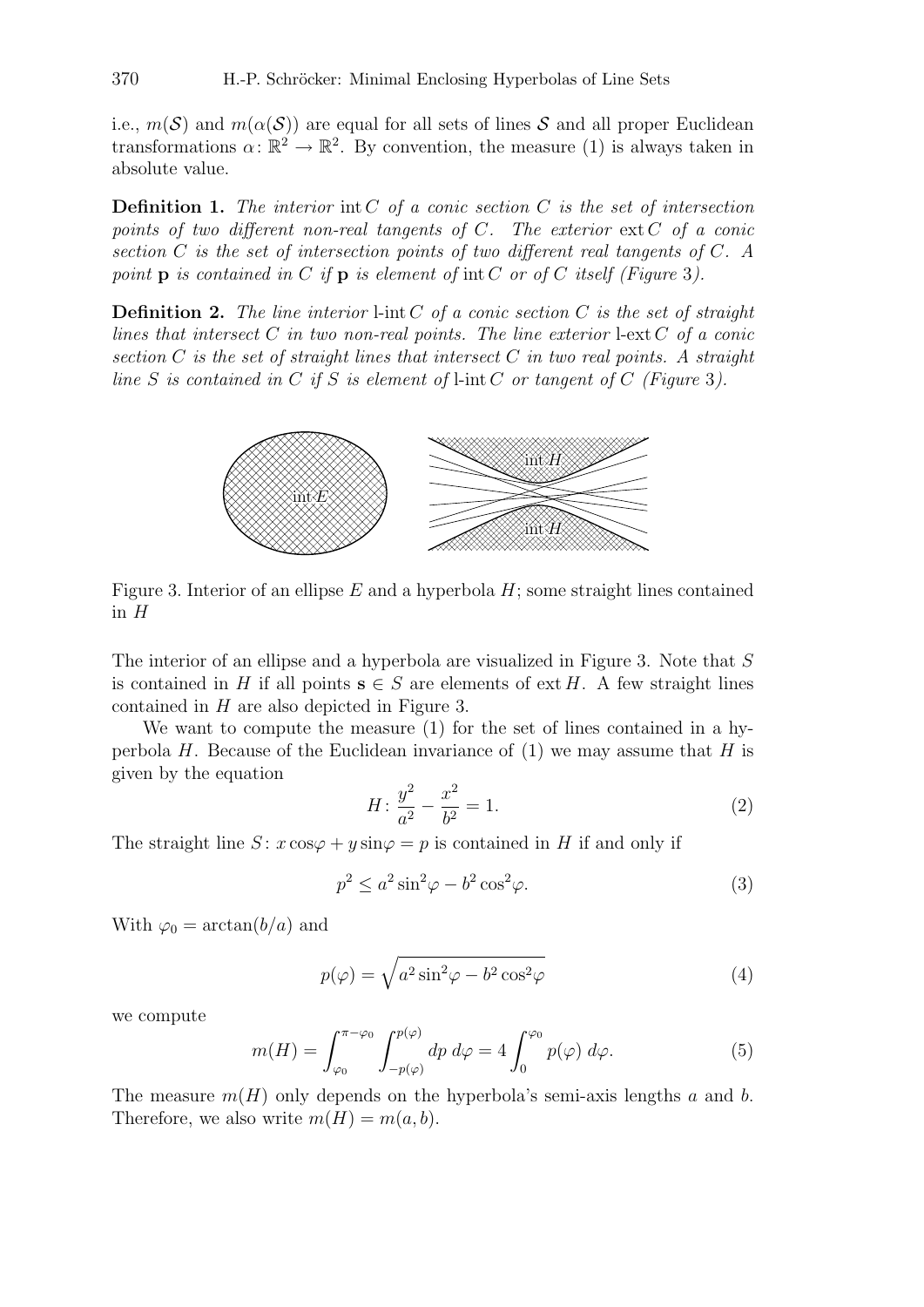i.e.,  $m(S)$  and  $m(\alpha(S))$  are equal for all sets of lines S and all proper Euclidean transformations  $\alpha: \mathbb{R}^2 \to \mathbb{R}^2$ . By convention, the measure (1) is always taken in absolute value.

Definition 1. *The interior* int C *of a conic section* C *is the set of intersection points of two different non-real tangents of* C*. The exterior* ext C *of a conic section* C *is the set of intersection points of two different real tangents of* C*. A point* p *is contained in* C *if* p *is element of* int C *or of* C *itself (Figure* 3*).*

Definition 2. *The line interior* l-int C *of a conic section* C *is the set of straight lines that intersect* C *in two non-real points. The line exterior* l-ext C *of a conic section* C *is the set of straight lines that intersect* C *in two real points. A straight line* S *is contained in* C *if* S *is element of* l-int C *or tangent of* C *(Figure* 3*).*



Figure 3. Interior of an ellipse  $E$  and a hyperbola  $H$ ; some straight lines contained in  $H$ 

The interior of an ellipse and a hyperbola are visualized in Figure 3. Note that S is contained in H if all points  $s \in S$  are elements of ext H. A few straight lines contained in H are also depicted in Figure 3.

We want to compute the measure (1) for the set of lines contained in a hyperbola  $H$ . Because of the Euclidean invariance of (1) we may assume that  $H$  is given by the equation

$$
H: \frac{y^2}{a^2} - \frac{x^2}{b^2} = 1.
$$
 (2)

The straight line  $S: x \cos \varphi + y \sin \varphi = p$  is contained in H if and only if

$$
p^2 \le a^2 \sin^2 \varphi - b^2 \cos^2 \varphi. \tag{3}
$$

With  $\varphi_0 = \arctan(b/a)$  and

$$
p(\varphi) = \sqrt{a^2 \sin^2 \varphi - b^2 \cos^2 \varphi}
$$
 (4)

we compute

$$
m(H) = \int_{\varphi_0}^{\pi - \varphi_0} \int_{-p(\varphi)}^{p(\varphi)} dp \, d\varphi = 4 \int_0^{\varphi_0} p(\varphi) \, d\varphi. \tag{5}
$$

The measure  $m(H)$  only depends on the hyperbola's semi-axis lengths a and b. Therefore, we also write  $m(H) = m(a, b)$ .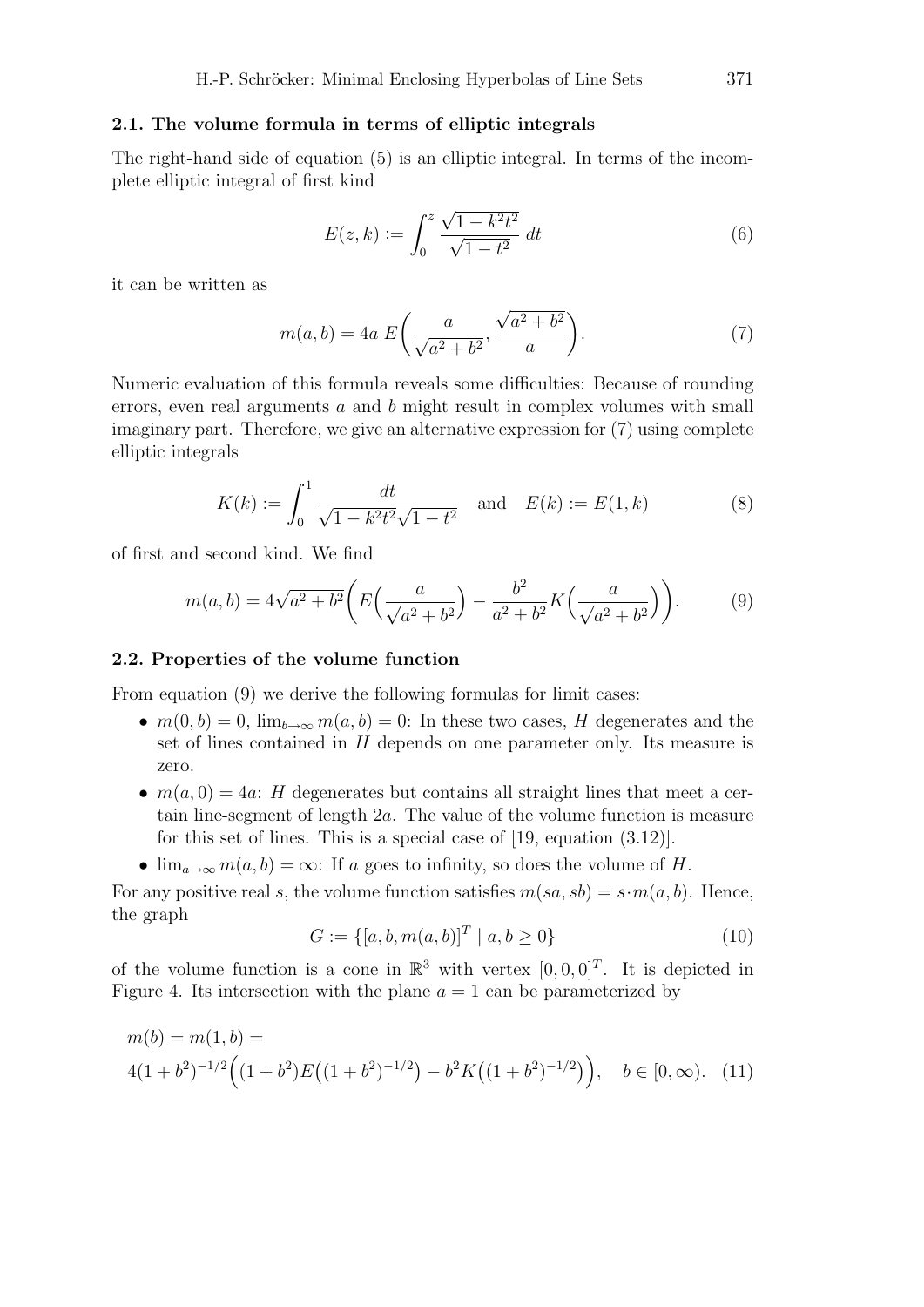# 2.1. The volume formula in terms of elliptic integrals

The right-hand side of equation (5) is an elliptic integral. In terms of the incomplete elliptic integral of first kind

$$
E(z,k) := \int_0^z \frac{\sqrt{1 - k^2 t^2}}{\sqrt{1 - t^2}} dt
$$
 (6)

it can be written as

$$
m(a,b) = 4a E\left(\frac{a}{\sqrt{a^2 + b^2}}, \frac{\sqrt{a^2 + b^2}}{a}\right).
$$
 (7)

Numeric evaluation of this formula reveals some difficulties: Because of rounding errors, even real arguments a and b might result in complex volumes with small imaginary part. Therefore, we give an alternative expression for (7) using complete elliptic integrals

$$
K(k) := \int_0^1 \frac{dt}{\sqrt{1 - k^2 t^2} \sqrt{1 - t^2}} \quad \text{and} \quad E(k) := E(1, k)
$$
 (8)

of first and second kind. We find

$$
m(a,b) = 4\sqrt{a^2 + b^2} \left( E\left(\frac{a}{\sqrt{a^2 + b^2}}\right) - \frac{b^2}{a^2 + b^2} K\left(\frac{a}{\sqrt{a^2 + b^2}}\right) \right).
$$
 (9)

# 2.2. Properties of the volume function

From equation  $(9)$  we derive the following formulas for limit cases:

- $m(0, b) = 0$ ,  $\lim_{b \to \infty} m(a, b) = 0$ : In these two cases, H degenerates and the set of lines contained in H depends on one parameter only. Its measure is zero.
- $m(a, 0) = 4a$ : H degenerates but contains all straight lines that meet a certain line-segment of length 2a. The value of the volume function is measure for this set of lines. This is a special case of [19, equation (3.12)].
- $\lim_{a\to\infty}m(a,b)=\infty$ : If a goes to infinity, so does the volume of H.

For any positive real s, the volume function satisfies  $m(sa, sb) = s \cdot m(a, b)$ . Hence, the graph

$$
G := \{ [a, b, m(a, b)]^T \mid a, b \ge 0 \}
$$
\n(10)

of the volume function is a cone in  $\mathbb{R}^3$  with vertex  $[0, 0, 0]^T$ . It is depicted in Figure 4. Its intersection with the plane  $a = 1$  can be parameterized by

$$
m(b) = m(1, b) =
$$
  
4(1+b<sup>2</sup>)<sup>-1/2</sup>((1+b<sup>2</sup>)E((1+b<sup>2</sup>)<sup>-1/2</sup>) – b<sup>2</sup>K((1+b<sup>2</sup>)<sup>-1/2</sup>)), b \in [0, \infty). (11)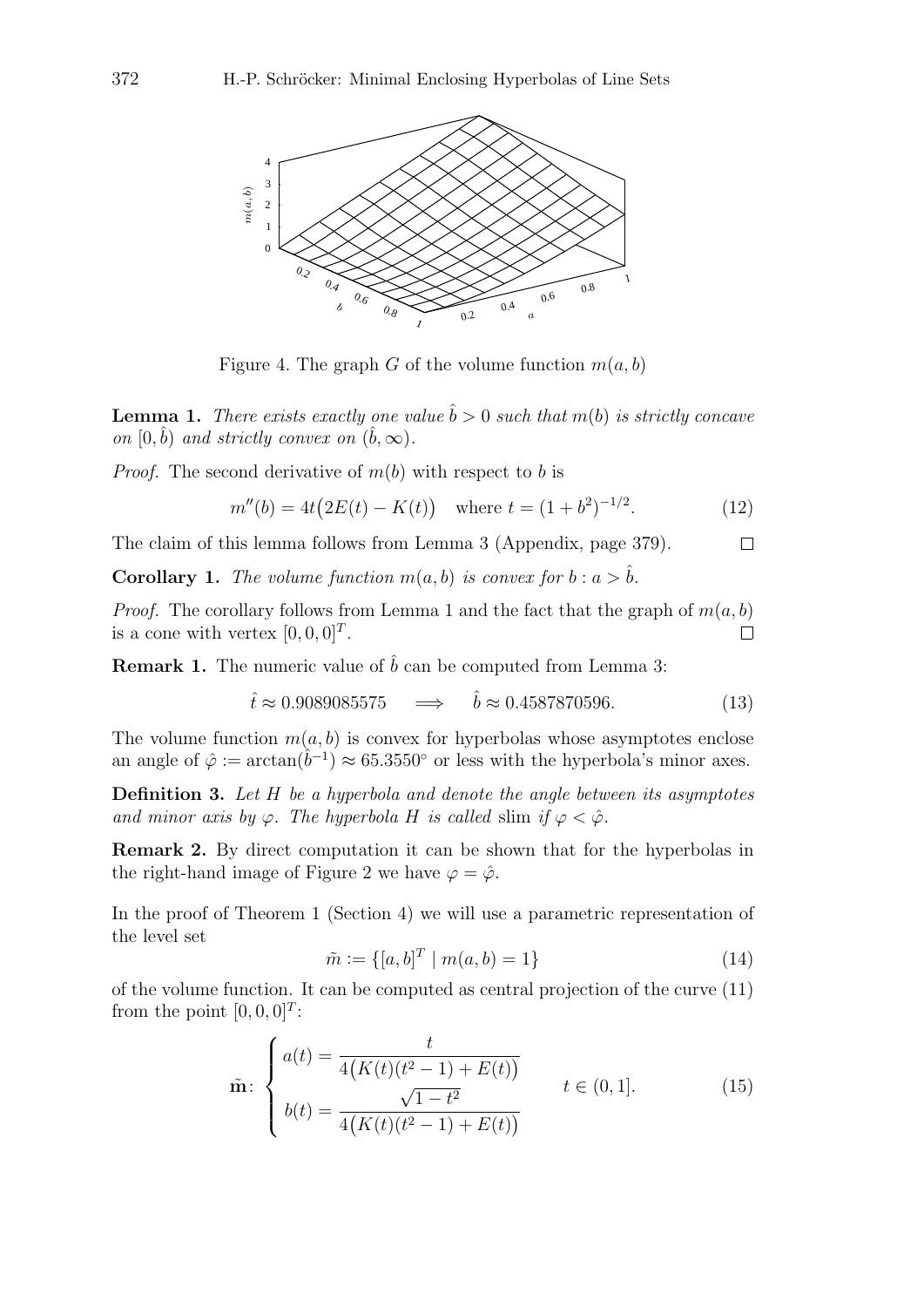

Figure 4. The graph G of the volume function  $m(a, b)$ 

**Lemma 1.** *There exists exactly one value*  $\hat{b} > 0$  *such that*  $m(b)$  *is strictly concave on*  $[0, \hat{b})$  *and strictly convex on*  $(\hat{b}, \infty)$ *.* 

*Proof.* The second derivative of  $m(b)$  with respect to b is

$$
m''(b) = 4t(2E(t) - K(t)) \quad \text{where } t = (1 + b^2)^{-1/2}.
$$
 (12)

The claim of this lemma follows from Lemma 3 (Appendix, page 379).  $\Box$ 

**Corollary 1.** The volume function  $m(a, b)$  is convex for  $b : a > \hat{b}$ .

*Proof.* The corollary follows from Lemma 1 and the fact that the graph of  $m(a, b)$ is a cone with vertex  $[0, 0, 0]^T$ .  $\Box$ 

**Remark 1.** The numeric value of  $\hat{b}$  can be computed from Lemma 3:

$$
\hat{t} \approx 0.9089085575 \quad \Longrightarrow \quad \hat{b} \approx 0.4587870596. \tag{13}
$$

The volume function  $m(a, b)$  is convex for hyperbolas whose asymptotes enclose an angle of  $\hat{\varphi} := \arctan(\hat{b}^{-1}) \approx 65.3550^{\circ}$  or less with the hyperbola's minor axes.

Definition 3. *Let* H *be a hyperbola and denote the angle between its asymptotes and minor axis by*  $\varphi$ *. The hyperbola* H *is called* slim *if*  $\varphi < \hat{\varphi}$ *.* 

Remark 2. By direct computation it can be shown that for the hyperbolas in the right-hand image of Figure 2 we have  $\varphi = \hat{\varphi}$ .

In the proof of Theorem 1 (Section 4) we will use a parametric representation of the level set

$$
\tilde{m} := \{ [a, b]^T \mid m(a, b) = 1 \}
$$
\n(14)

of the volume function. It can be computed as central projection of the curve (11) from the point  $[0, 0, 0]^T$ :

$$
\tilde{\mathbf{m}}: \begin{cases} a(t) = \frac{t}{4(K(t)(t^2 - 1) + E(t))} \\ b(t) = \frac{\sqrt{1 - t^2}}{4(K(t)(t^2 - 1) + E(t))} \end{cases} \qquad t \in (0, 1]. \tag{15}
$$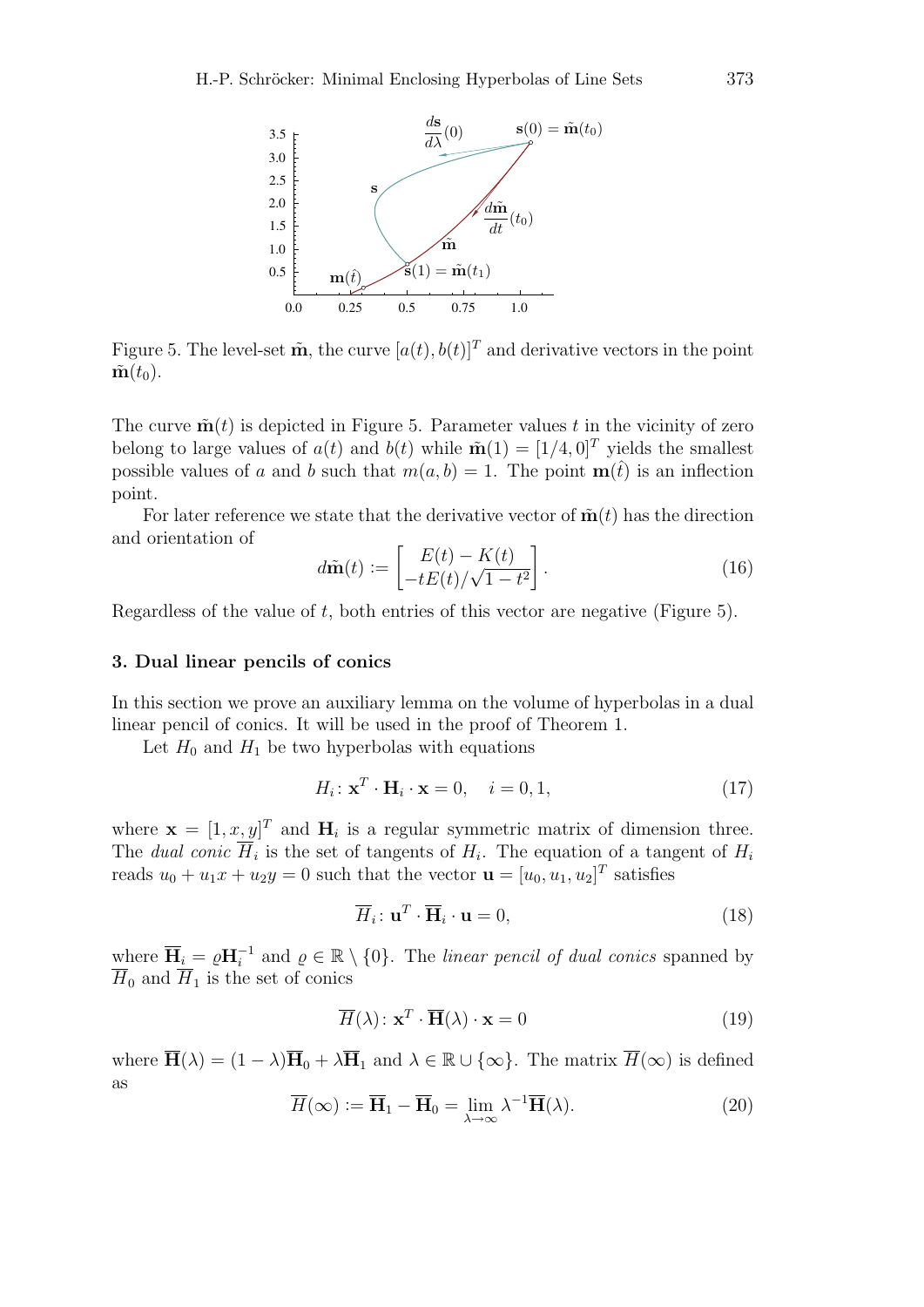

Figure 5. The level-set  $\tilde{\mathbf{m}}$ , the curve  $[a(t), b(t)]^T$  and derivative vectors in the point  $\tilde{\mathbf{m}}(t_0)$ .

The curve  $\tilde{\mathbf{m}}(t)$  is depicted in Figure 5. Parameter values t in the vicinity of zero belong to large values of  $a(t)$  and  $b(t)$  while  $\tilde{\mathbf{m}}(1) = [1/4, 0]^T$  yields the smallest possible values of a and b such that  $m(a, b) = 1$ . The point  $m(\hat{t})$  is an inflection point.

For later reference we state that the derivative vector of  $\tilde{\mathbf{m}}(t)$  has the direction and orientation of

$$
d\tilde{\mathbf{m}}(t) := \begin{bmatrix} E(t) - K(t) \\ -tE(t)/\sqrt{1 - t^2} \end{bmatrix}.
$$
\n(16)

Regardless of the value of t, both entries of this vector are negative (Figure 5).

### 3. Dual linear pencils of conics

In this section we prove an auxiliary lemma on the volume of hyperbolas in a dual linear pencil of conics. It will be used in the proof of Theorem 1.

Let  $H_0$  and  $H_1$  be two hyperbolas with equations

$$
H_i: \mathbf{x}^T \cdot \mathbf{H}_i \cdot \mathbf{x} = 0, \quad i = 0, 1,
$$
\n(17)

where  $\mathbf{x} = [1, x, y]^T$  and  $\mathbf{H}_i$  is a regular symmetric matrix of dimension three. The *dual conic*  $\overline{H}_i$  is the set of tangents of  $H_i$ . The equation of a tangent of  $H_i$ reads  $u_0 + u_1 x + u_2 y = 0$  such that the vector  $\mathbf{u} = [u_0, u_1, u_2]^T$  satisfies

$$
\overline{H}_i: \mathbf{u}^T \cdot \overline{\mathbf{H}}_i \cdot \mathbf{u} = 0,\tag{18}
$$

where  $\overline{H}_i = \varrho H_i^{-1}$  and  $\varrho \in \mathbb{R} \setminus \{0\}$ . The *linear pencil of dual conics* spanned by  $\overline{H}_0$  and  $\overline{H}_1$  is the set of conics

$$
\overline{H}(\lambda) : \mathbf{x}^T \cdot \overline{\mathbf{H}}(\lambda) \cdot \mathbf{x} = 0 \tag{19}
$$

where  $\overline{\mathbf{H}}(\lambda) = (1 - \lambda)\overline{\mathbf{H}}_0 + \lambda \overline{\mathbf{H}}_1$  and  $\lambda \in \mathbb{R} \cup {\infty}$ . The matrix  $\overline{H}(\infty)$  is defined as

$$
\overline{H}(\infty) := \overline{\mathbf{H}}_1 - \overline{\mathbf{H}}_0 = \lim_{\lambda \to \infty} \lambda^{-1} \overline{\mathbf{H}}(\lambda).
$$
 (20)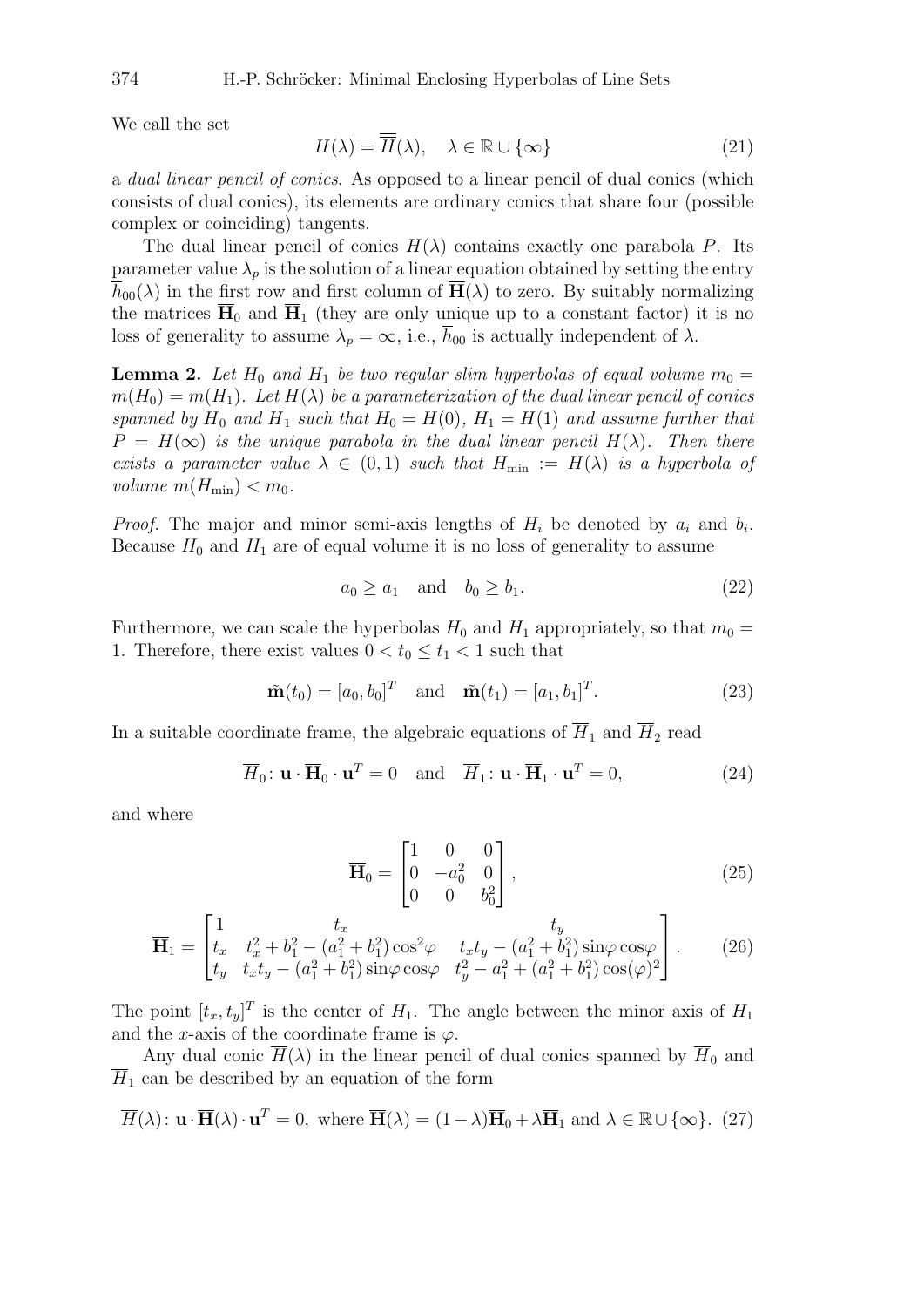We call the set

$$
H(\lambda) = \overline{H}(\lambda), \quad \lambda \in \mathbb{R} \cup \{\infty\}
$$
 (21)

a *dual linear pencil of conics*. As opposed to a linear pencil of dual conics (which consists of dual conics), its elements are ordinary conics that share four (possible complex or coinciding) tangents.

The dual linear pencil of conics  $H(\lambda)$  contains exactly one parabola P. Its parameter value  $\lambda_p$  is the solution of a linear equation obtained by setting the entry  $\overline{h}_{00}(\lambda)$  in the first row and first column of  $\overline{H}(\lambda)$  to zero. By suitably normalizing the matrices  $\overline{H}_0$  and  $\overline{H}_1$  (they are only unique up to a constant factor) it is no loss of generality to assume  $\lambda_p = \infty$ , i.e.,  $\overline{h}_{00}$  is actually independent of  $\lambda$ .

**Lemma 2.** Let  $H_0$  and  $H_1$  be two regular slim hyperbolas of equal volume  $m_0 =$  $m(H_0) = m(H_1)$ . Let  $H(\lambda)$  be a parameterization of the dual linear pencil of conics *spanned by*  $\overline{H}_0$  *and*  $\overline{H}_1$  *such that*  $H_0 = H(0)$ *,*  $H_1 = H(1)$  *and assume further that*  $P = H(\infty)$  *is the unique parabola in the dual linear pencil*  $H(\lambda)$ *. Then there exists a parameter value*  $\lambda \in (0,1)$  *such that*  $H_{\min} := H(\lambda)$  *is a hyperbola of volume*  $m(H_{\min}) < m_0$ .

*Proof.* The major and minor semi-axis lengths of  $H_i$  be denoted by  $a_i$  and  $b_i$ . Because  $H_0$  and  $H_1$  are of equal volume it is no loss of generality to assume

$$
a_0 \ge a_1 \quad \text{and} \quad b_0 \ge b_1. \tag{22}
$$

Furthermore, we can scale the hyperbolas  $H_0$  and  $H_1$  appropriately, so that  $m_0 =$ 1. Therefore, there exist values  $0 < t_0 \leq t_1 < 1$  such that

$$
\tilde{\mathbf{m}}(t_0) = [a_0, b_0]^T
$$
 and  $\tilde{\mathbf{m}}(t_1) = [a_1, b_1]^T$ . (23)

In a suitable coordinate frame, the algebraic equations of  $\overline{H}_1$  and  $\overline{H}_2$  read

$$
\overline{H}_0: \mathbf{u} \cdot \overline{\mathbf{H}}_0 \cdot \mathbf{u}^T = 0 \quad \text{and} \quad \overline{H}_1: \mathbf{u} \cdot \overline{\mathbf{H}}_1 \cdot \mathbf{u}^T = 0,
$$
\n(24)

and where

$$
\overline{\mathbf{H}}_0 = \begin{bmatrix} 1 & 0 & 0 \\ 0 & -a_0^2 & 0 \\ 0 & 0 & b_0^2 \end{bmatrix},
$$
\n(25)

$$
\overline{\mathbf{H}}_1 = \begin{bmatrix} 1 & t_x & t_y \\ t_x & t_x^2 + b_1^2 - (a_1^2 + b_1^2) \cos^2 \varphi & t_x t_y - (a_1^2 + b_1^2) \sin \varphi \cos \varphi \\ t_y & t_x t_y - (a_1^2 + b_1^2) \sin \varphi \cos \varphi & t_y^2 - a_1^2 + (a_1^2 + b_1^2) \cos(\varphi)^2 \end{bmatrix} . \tag{26}
$$

The point  $[t_x, t_y]^T$  is the center of  $H_1$ . The angle between the minor axis of  $H_1$ and the x-axis of the coordinate frame is  $\varphi$ .

Any dual conic  $\overline{H}(\lambda)$  in the linear pencil of dual conics spanned by  $\overline{H}_0$  and  $\overline{H}_1$  can be described by an equation of the form

$$
\overline{H}(\lambda): \mathbf{u} \cdot \overline{\mathbf{H}}(\lambda) \cdot \mathbf{u}^T = 0, \text{ where } \overline{\mathbf{H}}(\lambda) = (1 - \lambda)\overline{\mathbf{H}}_0 + \lambda \overline{\mathbf{H}}_1 \text{ and } \lambda \in \mathbb{R} \cup \{\infty\}. (27)
$$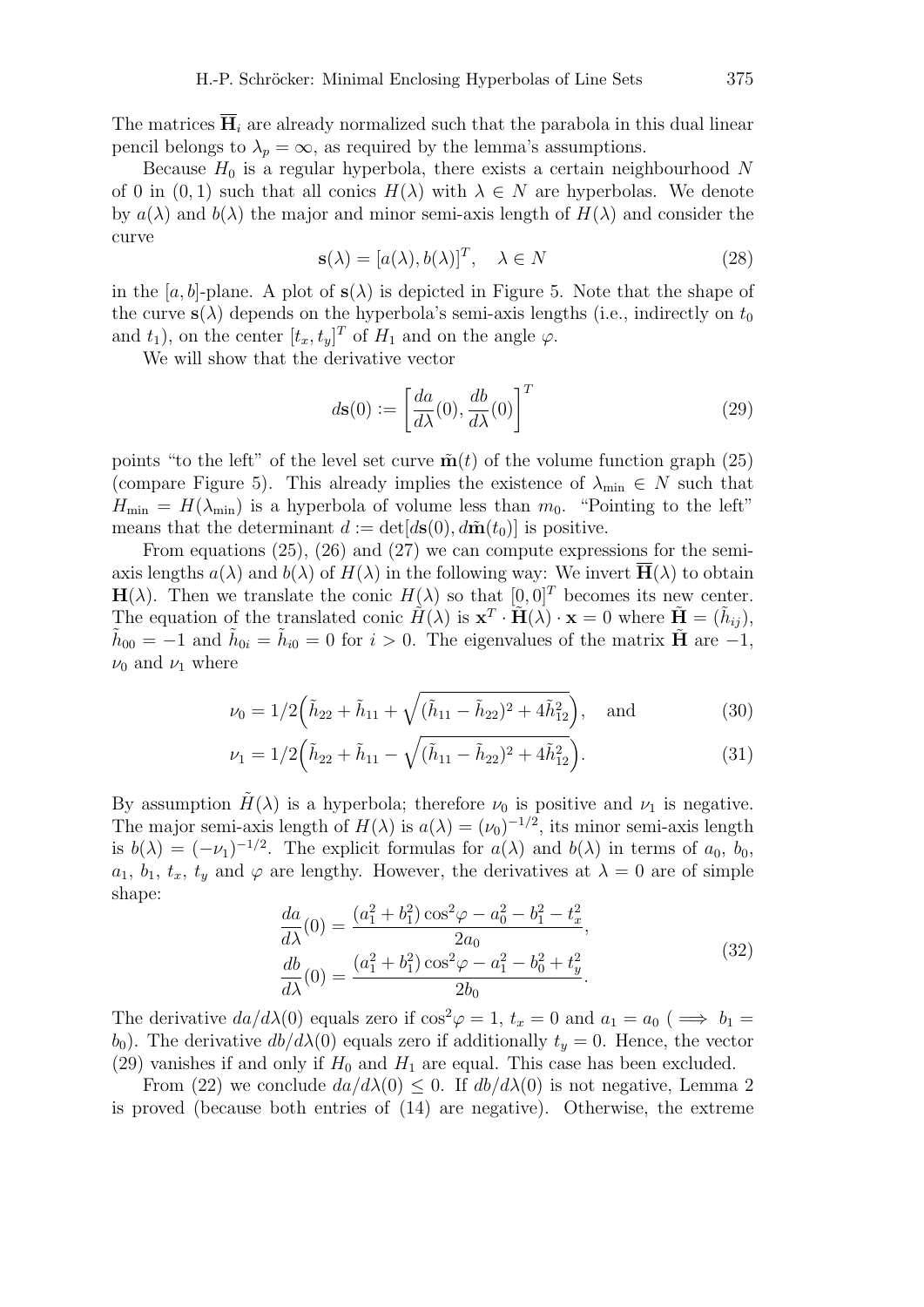The matrices  $H_i$  are already normalized such that the parabola in this dual linear pencil belongs to  $\lambda_p = \infty$ , as required by the lemma's assumptions.

Because  $H_0$  is a regular hyperbola, there exists a certain neighbourhood N of 0 in  $(0, 1)$  such that all conics  $H(\lambda)$  with  $\lambda \in N$  are hyperbolas. We denote by  $a(\lambda)$  and  $b(\lambda)$  the major and minor semi-axis length of  $H(\lambda)$  and consider the curve

$$
\mathbf{s}(\lambda) = [a(\lambda), b(\lambda)]^T, \quad \lambda \in N \tag{28}
$$

in the [a, b]-plane. A plot of  $s(\lambda)$  is depicted in Figure 5. Note that the shape of the curve  $s(\lambda)$  depends on the hyperbola's semi-axis lengths (i.e., indirectly on  $t_0$ ) and  $t_1$ ), on the center  $[t_x, t_y]^T$  of  $H_1$  and on the angle  $\varphi$ .

We will show that the derivative vector

$$
d\mathbf{s}(0) := \left[\frac{da}{d\lambda}(0), \frac{db}{d\lambda}(0)\right]^T
$$
\n(29)

points "to the left" of the level set curve  $\tilde{\mathbf{n}}(t)$  of the volume function graph (25) (compare Figure 5). This already implies the existence of  $\lambda_{\min} \in N$  such that  $H_{\min} = H(\lambda_{\min})$  is a hyperbola of volume less than  $m_0$ . "Pointing to the left" means that the determinant  $d := det[d\mathbf{s}(0), d\tilde{\mathbf{m}}(t_0)]$  is positive.

From equations (25), (26) and (27) we can compute expressions for the semiaxis lengths  $a(\lambda)$  and  $b(\lambda)$  of  $H(\lambda)$  in the following way: We invert  $\overline{H}(\lambda)$  to obtain  $H(\lambda)$ . Then we translate the conic  $H(\lambda)$  so that  $[0, 0]^T$  becomes its new center. The equation of the translated conic  $\hat{H}(\lambda)$  is  $\mathbf{x}^T \cdot \tilde{H}(\lambda) \cdot \mathbf{x} = 0$  where  $\tilde{H} = (\tilde{h}_{ij}),$  $\tilde{h}_{00} = -1$  and  $\tilde{h}_{0i} = \tilde{h}_{i0} = 0$  for  $i > 0$ . The eigenvalues of the matrix  $\tilde{H}$  are  $-1$ ,  $\nu_0$  and  $\nu_1$  where

$$
\nu_0 = 1/2 \left( \tilde{h}_{22} + \tilde{h}_{11} + \sqrt{(\tilde{h}_{11} - \tilde{h}_{22})^2 + 4\tilde{h}_{12}^2} \right), \text{ and } (30)
$$

$$
\nu_1 = 1/2 \left( \tilde{h}_{22} + \tilde{h}_{11} - \sqrt{(\tilde{h}_{11} - \tilde{h}_{22})^2 + 4\tilde{h}_{12}^2} \right).
$$
 (31)

By assumption  $H(\lambda)$  is a hyperbola; therefore  $\nu_0$  is positive and  $\nu_1$  is negative. The major semi-axis length of  $H(\lambda)$  is  $a(\lambda) = (\nu_0)^{-1/2}$ , its minor semi-axis length is  $b(\lambda) = (-\nu_1)^{-1/2}$ . The explicit formulas for  $a(\lambda)$  and  $b(\lambda)$  in terms of  $a_0, b_0$ ,  $a_1, b_1, t_x, t_y$  and  $\varphi$  are lengthy. However, the derivatives at  $\lambda = 0$  are of simple shape:

$$
\frac{da}{d\lambda}(0) = \frac{(a_1^2 + b_1^2)\cos^2\varphi - a_0^2 - b_1^2 - t_x^2}{2a_0},
$$
  
\n
$$
\frac{db}{d\lambda}(0) = \frac{(a_1^2 + b_1^2)\cos^2\varphi - a_1^2 - b_0^2 + t_y^2}{2b_0}.
$$
\n(32)

The derivative  $da/d\lambda(0)$  equals zero if  $\cos^2\varphi = 1$ ,  $t_x = 0$  and  $a_1 = a_0$  ( $\implies b_1 =$ b<sub>0</sub>). The derivative  $db/d\lambda(0)$  equals zero if additionally  $t<sub>y</sub> = 0$ . Hence, the vector (29) vanishes if and only if  $H_0$  and  $H_1$  are equal. This case has been excluded.

From (22) we conclude  $da/d\lambda(0) \leq 0$ . If  $db/d\lambda(0)$  is not negative, Lemma 2 is proved (because both entries of (14) are negative). Otherwise, the extreme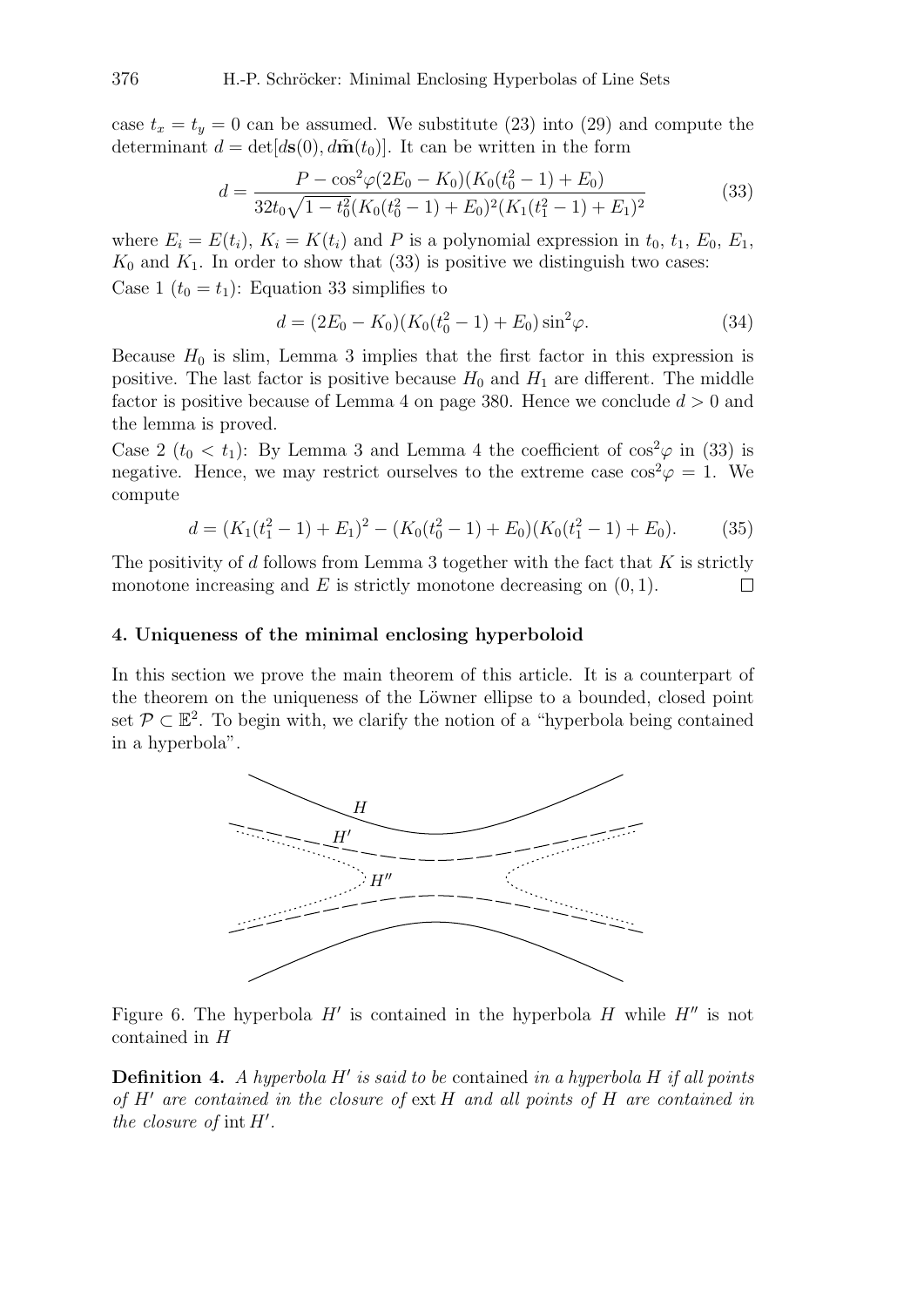case  $t_x = t_y = 0$  can be assumed. We substitute (23) into (29) and compute the determinant  $d = det[d\mathbf{s}(0), d\tilde{\mathbf{m}}(t_0)].$  It can be written in the form

$$
d = \frac{P - \cos^2\varphi(2E_0 - K_0)(K_0(t_0^2 - 1) + E_0)}{32t_0\sqrt{1 - t_0^2}(K_0(t_0^2 - 1) + E_0)^2(K_1(t_1^2 - 1) + E_1)^2}
$$
(33)

where  $E_i = E(t_i)$ ,  $K_i = K(t_i)$  and P is a polynomial expression in  $t_0$ ,  $t_1$ ,  $E_0$ ,  $E_1$ ,  $K_0$  and  $K_1$ . In order to show that (33) is positive we distinguish two cases: Case 1  $(t_0 = t_1)$ : Equation 33 simplifies to

$$
d = (2E_0 - K_0)(K_0(t_0^2 - 1) + E_0)\sin^2\varphi.
$$
\n(34)

Because  $H_0$  is slim, Lemma 3 implies that the first factor in this expression is positive. The last factor is positive because  $H_0$  and  $H_1$  are different. The middle factor is positive because of Lemma 4 on page 380. Hence we conclude  $d > 0$  and the lemma is proved.

Case 2 ( $t_0 < t_1$ ): By Lemma 3 and Lemma 4 the coefficient of  $\cos^2\varphi$  in (33) is negative. Hence, we may restrict ourselves to the extreme case  $\cos^2 \varphi = 1$ . We compute

$$
d = (K_1(t_1^2 - 1) + E_1)^2 - (K_0(t_0^2 - 1) + E_0)(K_0(t_1^2 - 1) + E_0).
$$
 (35)

The positivity of d follows from Lemma 3 together with the fact that  $K$  is strictly monotone increasing and  $E$  is strictly monotone decreasing on  $(0, 1)$ .  $\Box$ 

### 4. Uniqueness of the minimal enclosing hyperboloid

In this section we prove the main theorem of this article. It is a counterpart of the theorem on the uniqueness of the Löwner ellipse to a bounded, closed point set  $\mathcal{P} \subset \mathbb{E}^2$ . To begin with, we clarify the notion of a "hyperbola being contained in a hyperbola".



Figure 6. The hyperbola  $H'$  is contained in the hyperbola  $H$  while  $H''$  is not contained in H

**Definition 4.** A hyperbola H' is said to be contained in a hyperbola H if all points *of* H<sup>0</sup> *are contained in the closure of* ext H *and all points of* H *are contained in the closure of*  $int H'$ .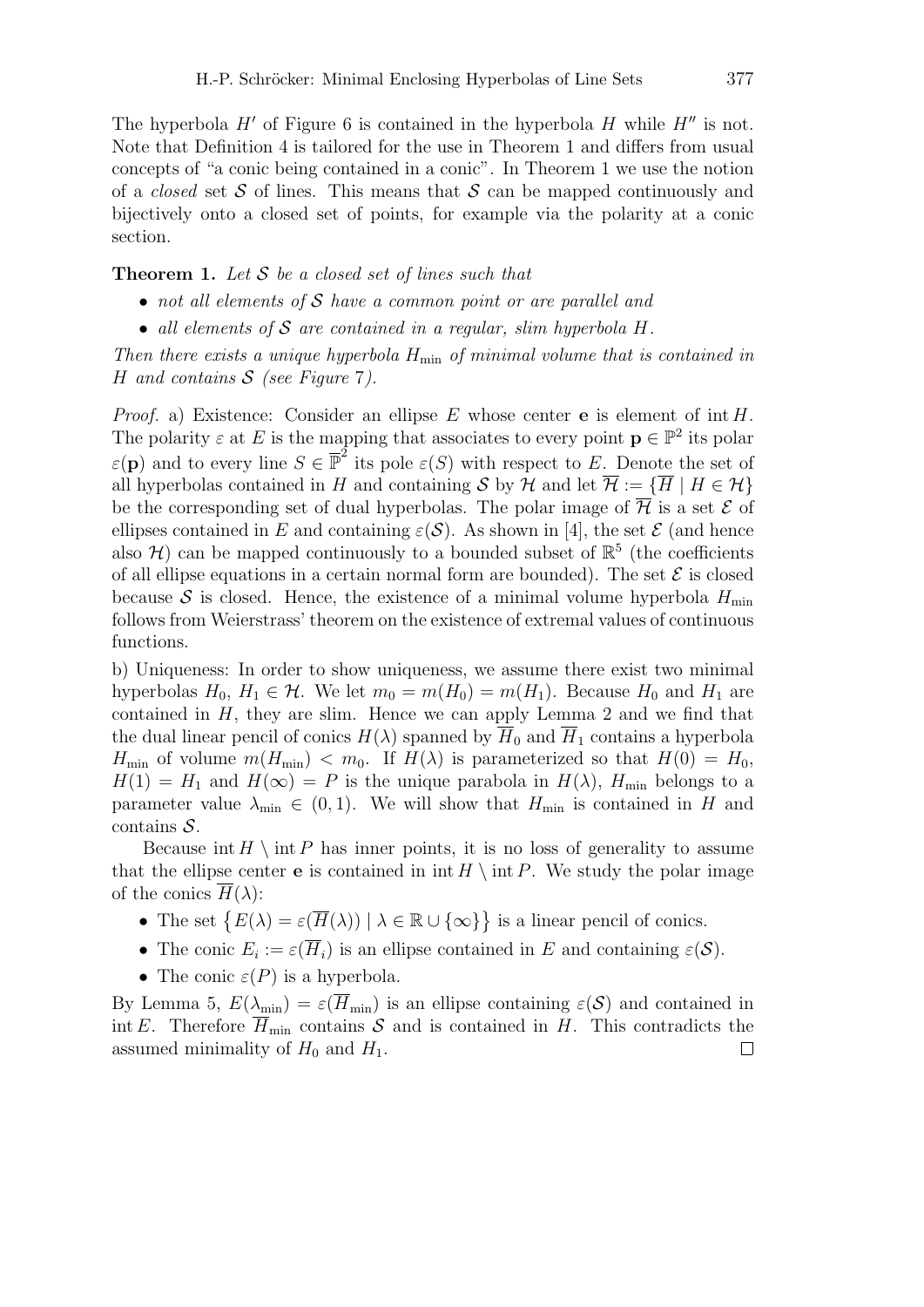The hyperbola  $H'$  of Figure 6 is contained in the hyperbola  $H$  while  $H''$  is not. Note that Definition 4 is tailored for the use in Theorem 1 and differs from usual concepts of "a conic being contained in a conic". In Theorem 1 we use the notion of a *closed* set  $S$  of lines. This means that  $S$  can be mapped continuously and bijectively onto a closed set of points, for example via the polarity at a conic section.

# Theorem 1. *Let* S *be a closed set of lines such that*

- *not all elements of* S *have a common point or are parallel and*
- *all elements of* S *are contained in a regular, slim hyperbola* H*.*

*Then there exists a unique hyperbola*  $H_{\text{min}}$  *of minimal volume that is contained in* H *and contains* S *(see Figure* 7*).*

*Proof.* a) Existence: Consider an ellipse  $E$  whose center **e** is element of int  $H$ . The polarity  $\varepsilon$  at E is the mapping that associates to every point  $\mathbf{p} \in \mathbb{P}^2$  its polar  $\varepsilon(\mathbf{p})$  and to every line  $S \in \mathbb{P}^2$  its pole  $\varepsilon(S)$  with respect to E. Denote the set of all hyperbolas contained in H and containing S by H and let  $\overline{\mathcal{H}} := \{ \overline{H} \mid H \in \mathcal{H} \}$ be the corresponding set of dual hyperbolas. The polar image of  $\overline{\mathcal{H}}$  is a set  $\mathcal E$  of ellipses contained in E and containing  $\varepsilon(S)$ . As shown in [4], the set E (and hence also  $\mathcal{H}$ ) can be mapped continuously to a bounded subset of  $\mathbb{R}^5$  (the coefficients of all ellipse equations in a certain normal form are bounded). The set  $\mathcal E$  is closed because S is closed. Hence, the existence of a minimal volume hyperbola  $H_{\text{min}}$ follows from Weierstrass' theorem on the existence of extremal values of continuous functions.

b) Uniqueness: In order to show uniqueness, we assume there exist two minimal hyperbolas  $H_0$ ,  $H_1 \in \mathcal{H}$ . We let  $m_0 = m(H_0) = m(H_1)$ . Because  $H_0$  and  $H_1$  are contained in  $H$ , they are slim. Hence we can apply Lemma 2 and we find that the dual linear pencil of conics  $H(\lambda)$  spanned by  $H_0$  and  $H_1$  contains a hyperbola  $H_{\min}$  of volume  $m(H_{\min}) < m_0$ . If  $H(\lambda)$  is parameterized so that  $H(0) = H_0$ ,  $H(1) = H_1$  and  $H(\infty) = P$  is the unique parabola in  $H(\lambda)$ ,  $H_{\min}$  belongs to a parameter value  $\lambda_{\min} \in (0,1)$ . We will show that  $H_{\min}$  is contained in H and  $contains S$ .

Because int  $H \setminus \text{int } P$  has inner points, it is no loss of generality to assume that the ellipse center **e** is contained in  $\text{int } H \setminus \text{int } P$ . We study the polar image of the conics  $\overline{H}(\lambda)$ :

- The set  $\{E(\lambda) = \varepsilon(\overline{H}(\lambda)) \mid \lambda \in \mathbb{R} \cup \{\infty\}\}\$ is a linear pencil of conics.
- The conic  $E_i := \varepsilon(\overline{H}_i)$  is an ellipse contained in E and containing  $\varepsilon(\mathcal{S})$ .
- The conic  $\varepsilon(P)$  is a hyperbola.

By Lemma 5,  $E(\lambda_{\min}) = \varepsilon(\overline{H}_{\min})$  is an ellipse containing  $\varepsilon(\mathcal{S})$  and contained in int E. Therefore  $\overline{H}_{min}$  contains S and is contained in H. This contradicts the assumed minimality of  $H_0$  and  $H_1$ .  $\Box$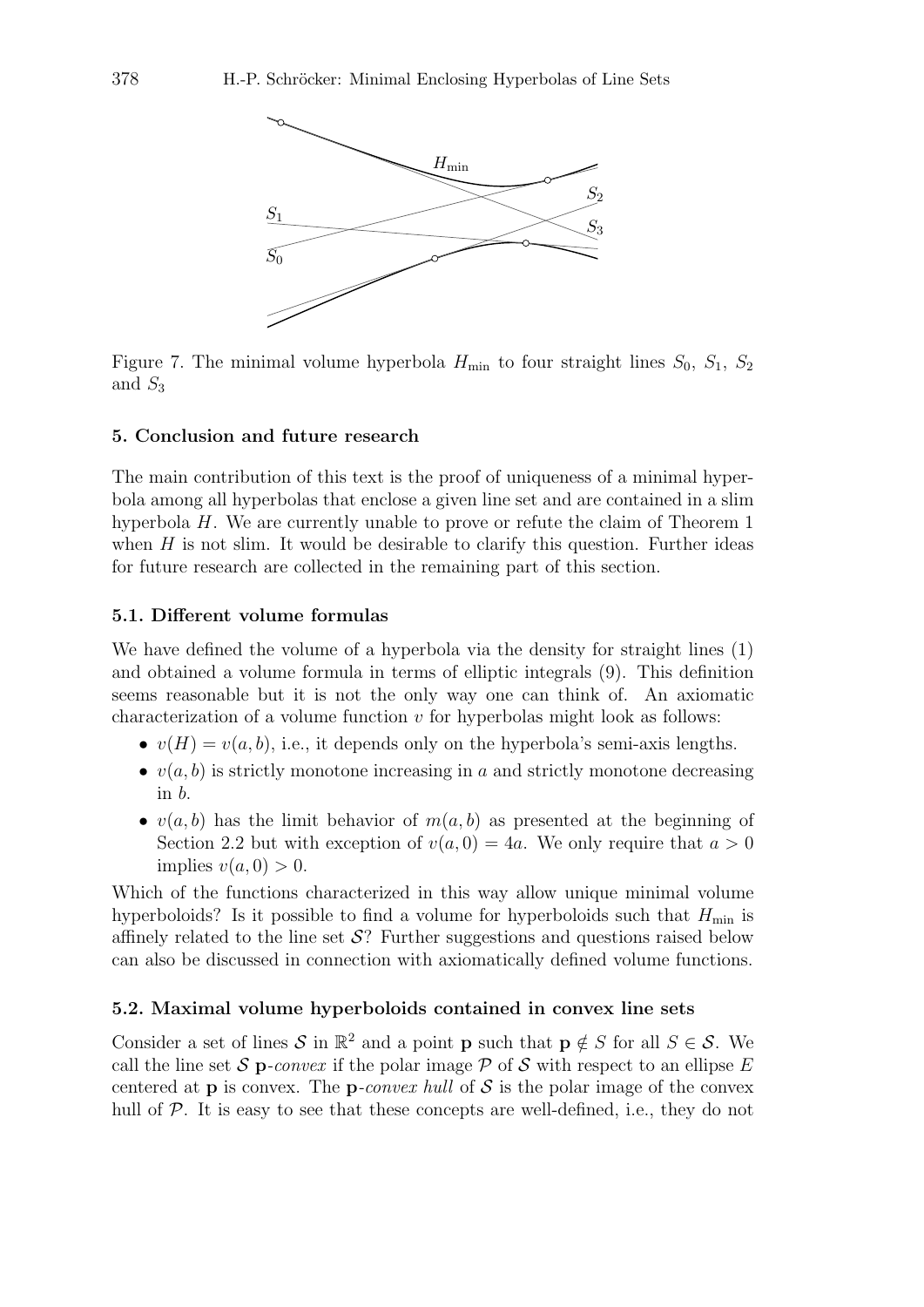

Figure 7. The minimal volume hyperbola  $H_{\text{min}}$  to four straight lines  $S_0$ ,  $S_1$ ,  $S_2$ and  $S_3$ 

### 5. Conclusion and future research

The main contribution of this text is the proof of uniqueness of a minimal hyperbola among all hyperbolas that enclose a given line set and are contained in a slim hyperbola H. We are currently unable to prove or refute the claim of Theorem 1 when  $H$  is not slim. It would be desirable to clarify this question. Further ideas for future research are collected in the remaining part of this section.

#### 5.1. Different volume formulas

We have defined the volume of a hyperbola via the density for straight lines (1) and obtained a volume formula in terms of elliptic integrals (9). This definition seems reasonable but it is not the only way one can think of. An axiomatic characterization of a volume function  $v$  for hyperbolas might look as follows:

- $v(H) = v(a, b)$ , i.e., it depends only on the hyperbola's semi-axis lengths.
- $v(a, b)$  is strictly monotone increasing in a and strictly monotone decreasing in b.
- $v(a, b)$  has the limit behavior of  $m(a, b)$  as presented at the beginning of Section 2.2 but with exception of  $v(a, 0) = 4a$ . We only require that  $a > 0$ implies  $v(a, 0) > 0$ .

Which of the functions characterized in this way allow unique minimal volume hyperboloids? Is it possible to find a volume for hyperboloids such that  $H_{\text{min}}$  is affinely related to the line set  $\mathcal{S}$ ? Further suggestions and questions raised below can also be discussed in connection with axiomatically defined volume functions.

### 5.2. Maximal volume hyperboloids contained in convex line sets

Consider a set of lines S in  $\mathbb{R}^2$  and a point **p** such that  $p \notin S$  for all  $S \in S$ . We call the line set S p-convex if the polar image  $P$  of S with respect to an ellipse E centered at **p** is convex. The **p**-convex hull of  $S$  is the polar image of the convex hull of P. It is easy to see that these concepts are well-defined, i.e., they do not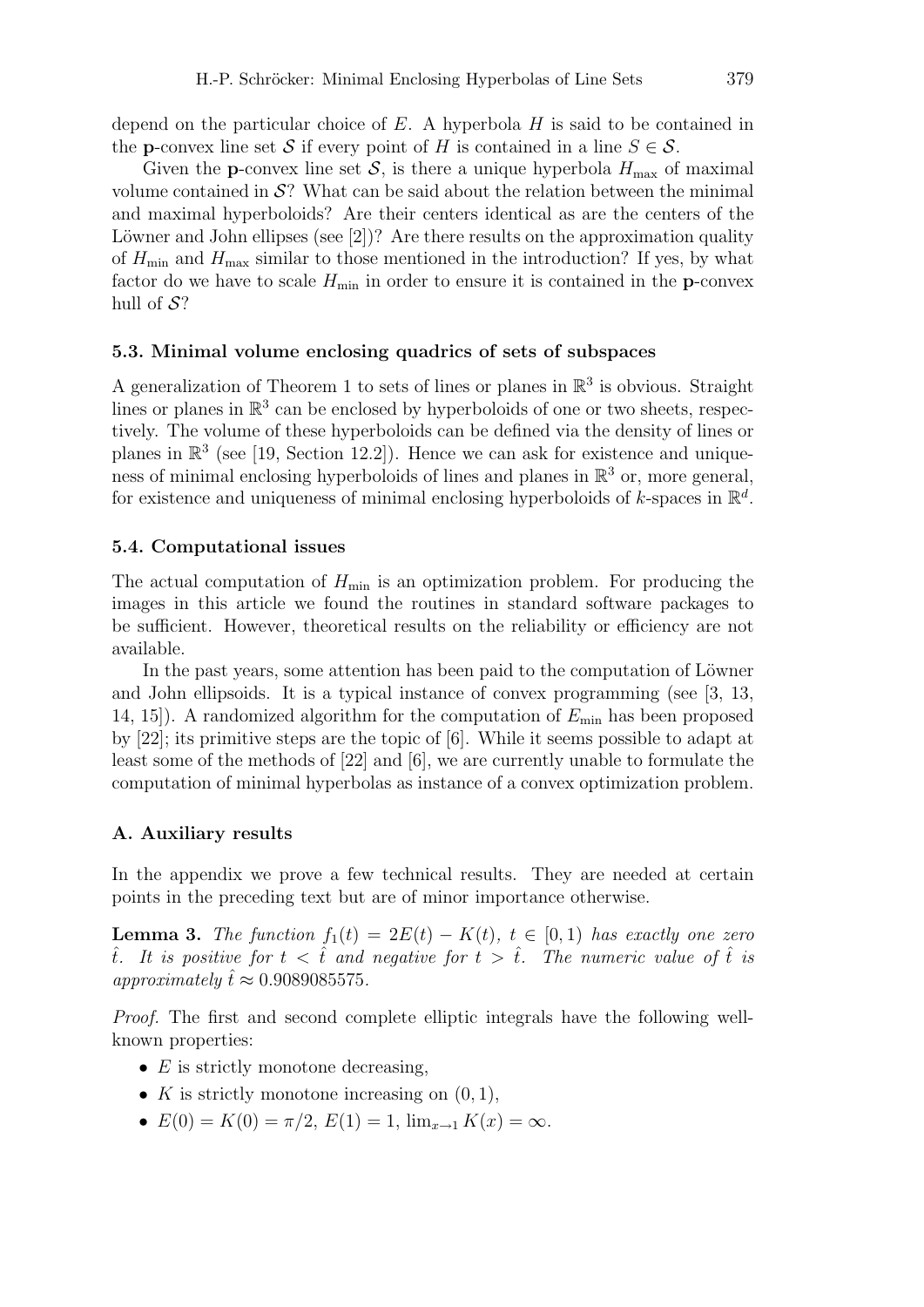Given the **p**-convex line set S, is there a unique hyperbola  $H_{\text{max}}$  of maximal volume contained in  $\mathcal{S}$ ? What can be said about the relation between the minimal and maximal hyperboloids? Are their centers identical as are the centers of the Löwner and John ellipses (see  $[2]$ )? Are there results on the approximation quality of  $H_{\text{min}}$  and  $H_{\text{max}}$  similar to those mentioned in the introduction? If yes, by what factor do we have to scale  $H_{\text{min}}$  in order to ensure it is contained in the **p**-convex hull of  $S$ ?

### 5.3. Minimal volume enclosing quadrics of sets of subspaces

A generalization of Theorem 1 to sets of lines or planes in  $\mathbb{R}^3$  is obvious. Straight lines or planes in  $\mathbb{R}^3$  can be enclosed by hyperboloids of one or two sheets, respectively. The volume of these hyperboloids can be defined via the density of lines or planes in  $\mathbb{R}^3$  (see [19, Section 12.2]). Hence we can ask for existence and uniqueness of minimal enclosing hyperboloids of lines and planes in  $\mathbb{R}^3$  or, more general, for existence and uniqueness of minimal enclosing hyperboloids of k-spaces in  $\mathbb{R}^d$ .

### 5.4. Computational issues

The actual computation of  $H_{\text{min}}$  is an optimization problem. For producing the images in this article we found the routines in standard software packages to be sufficient. However, theoretical results on the reliability or efficiency are not available.

In the past years, some attention has been paid to the computation of Löwner and John ellipsoids. It is a typical instance of convex programming (see [3, 13, 14, 15]). A randomized algorithm for the computation of  $E_{\text{min}}$  has been proposed by [22]; its primitive steps are the topic of [6]. While it seems possible to adapt at least some of the methods of [22] and [6], we are currently unable to formulate the computation of minimal hyperbolas as instance of a convex optimization problem.

#### A. Auxiliary results

In the appendix we prove a few technical results. They are needed at certain points in the preceding text but are of minor importance otherwise.

**Lemma 3.** *The function*  $f_1(t) = 2E(t) - K(t)$ ,  $t \in [0, 1)$  *has exactly one zero*  $\hat{t}$ . It is positive for  $t < \hat{t}$  and negative for  $t > \hat{t}$ . The numeric value of  $\hat{t}$  is  $approximately \hat{t} \approx 0.9089085575.$ 

*Proof.* The first and second complete elliptic integrals have the following wellknown properties:

- $E$  is strictly monotone decreasing,
- K is strictly monotone increasing on  $(0, 1)$ ,
- $E(0) = K(0) = \pi/2$ ,  $E(1) = 1$ ,  $\lim_{x\to 1} K(x) = \infty$ .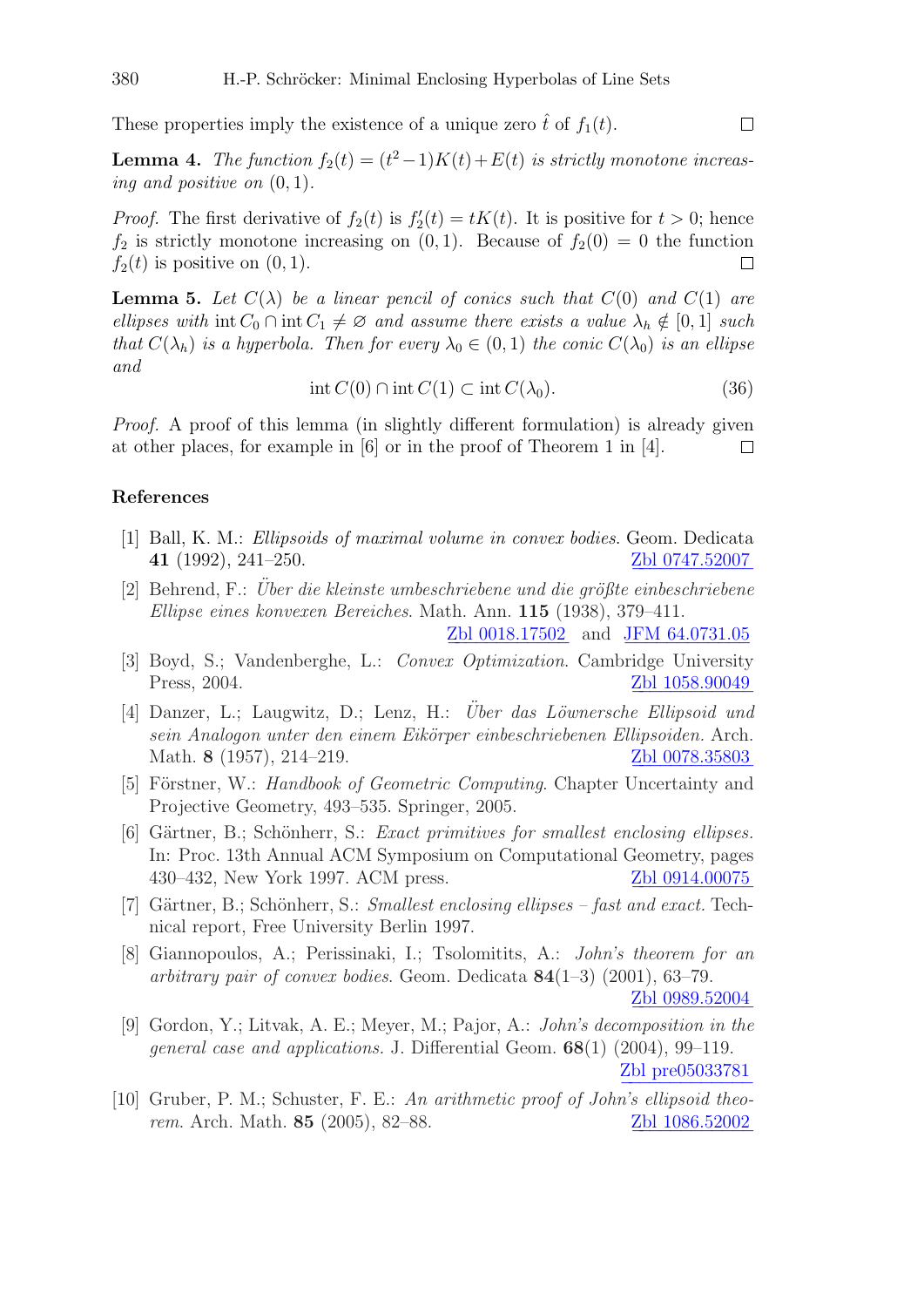These properties imply the existence of a unique zero  $\hat{t}$  of  $f_1(t)$ .

**Lemma 4.** *The function*  $f_2(t) = (t^2 - 1)K(t) + E(t)$  *is strictly monotone increasing and positive on*  $(0, 1)$ *.* 

*Proof.* The first derivative of  $f_2(t)$  is  $f'_2(t) = tK(t)$ . It is positive for  $t > 0$ ; hence  $f_2$  is strictly monotone increasing on  $(0, 1)$ . Because of  $f_2(0) = 0$  the function  $f_2(t)$  is positive on  $(0, 1)$ .  $\Box$ 

**Lemma 5.** Let  $C(\lambda)$  be a linear pencil of conics such that  $C(0)$  and  $C(1)$  are *ellipses with* int  $C_0 \cap \text{int } C_1 \neq \emptyset$  *and assume there exists a value*  $\lambda_h \notin [0,1]$  *such that*  $C(\lambda_h)$  *is a hyperbola. Then for every*  $\lambda_0 \in (0,1)$  *the conic*  $C(\lambda_0)$  *is an ellipse and*

$$
\operatorname{int} C(0) \cap \operatorname{int} C(1) \subset \operatorname{int} C(\lambda_0). \tag{36}
$$

*Proof.* A proof of this lemma (in slightly different formulation) is already given at other places, for example in [6] or in the proof of Theorem 1 in [4].  $\Box$ 

### References

- [1] Ball, K. M.: *Ellipsoids of maximal volume in convex bodies*. Geom. Dedicata **41** (1992), 241–250. [Zbl 0747.52007](http://www.emis.de/MATH-item?0747.52007)
- [2] Behrend, F.: *Über die kleinste umbeschriebene und die größte einbeschriebene Ellipse eines konvexen Bereiches*. Math. Ann. 115 (1938), 379–411.

[Zbl 0018.17502](http://www.emis.de/MATH-item?0018.17502) and [JFM 64.0731.05](http://www.emis.de/cgi-bin/JFM-item?64.0731.05)

- [3] Boyd, S.; Vandenberghe, L.: *Convex Optimization*. Cambridge University Press, 2004. [Zbl 1058.90049](http://www.emis.de/MATH-item?1058.90049) −−−−−−−−−−−−
- [4] Danzer, L.; Laugwitz, D.; Lenz, H.: *Über das Löwnersche Ellipsoid und sein Analogon unter den einem Eik¨orper einbeschriebenen Ellipsoiden.* Arch. Math. 8 (1957), 214–219. [Zbl 0078.35803](http://www.emis.de/MATH-item?0078.35803)
- [5] Förstner, W.: *Handbook of Geometric Computing*. Chapter Uncertainty and Projective Geometry, 493–535. Springer, 2005.
- [6] Gärtner, B.; Schönherr, S.: *Exact primitives for smallest enclosing ellipses*. In: Proc. 13th Annual ACM Symposium on Computational Geometry, pages 430–432, New York 1997. ACM press. [Zbl 0914.00075](http://www.emis.de/MATH-item?0914.00075)
- [7] Gärtner, B.; Schönherr, S.: *Smallest enclosing ellipses fast and exact*. Technical report, Free University Berlin 1997.
- [8] Giannopoulos, A.; Perissinaki, I.; Tsolomitits, A.: *John's theorem for an arbitrary pair of convex bodies*. Geom. Dedicata 84(1–3) (2001), 63–79. [Zbl 0989.52004](http://www.emis.de/MATH-item?0989.52004)
- [9] Gordon, Y.; Litvak, A. E.; Meyer, M.; Pajor, A.: *John's decomposition in the general case and applications.* J. Differential Geom. 68(1) (2004), 99–119. [Zbl pre05033781](http://www.emis.de/MATH-item?05033781)
- [10] Gruber, P. M.; Schuster, F. E.: *An arithmetic proof of John's ellipsoid theorem*. Arch. Math. 85 (2005), 82–88. [Zbl 1086.52002](http://www.emis.de/MATH-item?1086.52002)